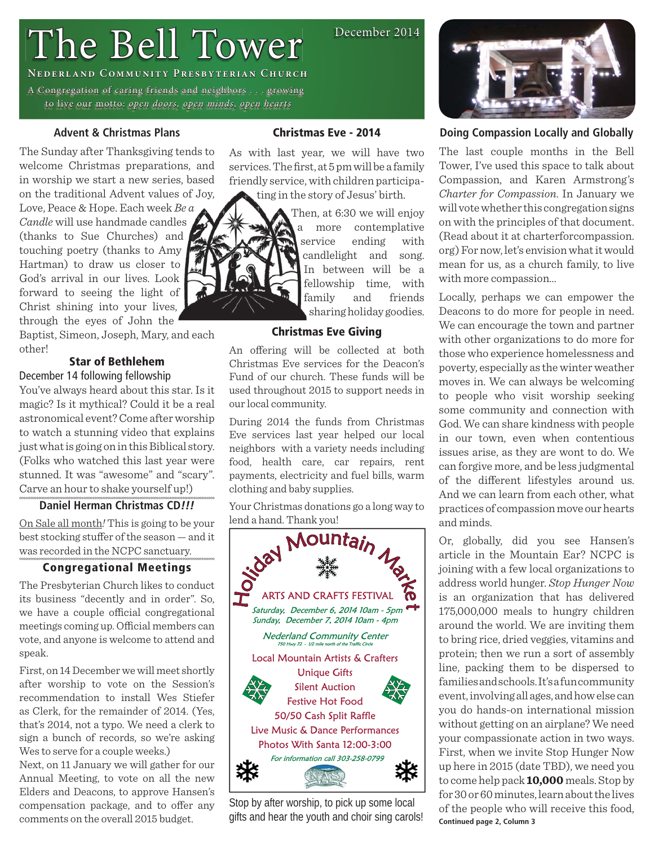# The Bell Tower

**NEDERLAND COMMUNITY PRESBYTERIAN CHURCH** 

A Congregation of caring friends and neighbors . . . growing to live our motto: open doors, open minds, open hearts

# **Advent & Christmas Plans**

The Sunday after Thanksgiving tends to welcome Christmas preparations, and in worship we start a new series, based on the traditional Advent values of Joy,

Love, Peace & Hope. Each week *Be a Candle* will use handmade candles (thanks to Sue Churches) and touching poetry (thanks to Amy Hartman) to draw us closer to God's arrival in our lives. Look forward to seeing the light of Christ shining into your lives, through the eyes of John the

Baptist, Simeon, Joseph, Mary, and each other!

# **Star of Bethlehem** December 14 following fellowship

You've always heard about this star. Is it magic? Is it mythical? Could it be a real astronomical event? Come after worship to watch a stunning video that explains just what is going on in this Biblical story. (Folks who watched this last year were stunned. It was "awesome" and "scary". Carve an hour to shake yourself up!)

# **Daniel Herman Christmas CD***!!!*

On Sale all month*!* This is going to be your best stocking stuffer of the season  $-$  and it was recorded in the NCPC sanctuary.

# **Congregational Meetings**

The Presbyterian Church likes to conduct its business "decently and in order". So, we have a couple official congregational meetings coming up. Official members can vote, and anyone is welcome to attend and speak.

First, on 14 December we will meet shortly after worship to vote on the Session's recommendation to install Wes Stiefer as Clerk, for the remainder of 2014. (Yes, that's 2014, not a typo. We need a clerk to sign a bunch of records, so we're asking Wes to serve for a couple weeks.)

Next, on 11 January we will gather for our Annual Meeting, to vote on all the new Elders and Deacons, to approve Hansen's compensation package, and to offer any comments on the overall 2015 budget.

# **Christmas Eve - 2014**

As with last year, we will have two services. The first, at 5 pm will be a family friendly service, with children participating in the story of Jesus' birth.

> Then, at 6:30 we will enjoy a more contemplative service ending with candlelight and song. In between will be a fellowship time, with family and friends sharing holiday goodies.

December 2014

# **Christmas Eve Giving**

An offering will be collected at both Christmas Eve services for the Deacon's Fund of our church. These funds will be used throughout 2015 to support needs in our local community.

During 2014 the funds from Christmas Eve services last year helped our local neighbors with a variety needs including food, health care, car repairs, rent payments, electricity and fuel bills, warm clothing and baby supplies.

Your Christmas donations go a long way to lend a hand. Thank you!



Stop by after worship, to pick up some local gifts and hear the youth and choir sing carols!



# **Doing Compassion Locally and Globally**

The last couple months in the Bell Tower, I've used this space to talk about Compassion, and Karen Armstrong's *Charter for Compassion*. In January we will vote whether this congregation signs on with the principles of that document. (Read about it at charterforcompassion. org) For now, let's envision what it would mean for us, as a church family, to live with more compassion…

Locally, perhaps we can empower the Deacons to do more for people in need. We can encourage the town and partner with other organizations to do more for those who experience homelessness and poverty, especially as the winter weather moves in. We can always be welcoming to people who visit worship seeking some community and connection with God. We can share kindness with people in our town, even when contentious issues arise, as they are wont to do. We can forgive more, and be less judgmental of the different lifestyles around us. And we can learn from each other, what practices of compassion move our hearts and minds.

Or, globally, did you see Hansen's article in the Mountain Ear? NCPC is joining with a few local organizations to address world hunger. *Stop Hunger Now* is an organization that has delivered 175,000,000 meals to hungry children around the world. We are inviting them to bring rice, dried veggies, vitamins and protein; then we run a sort of assembly line, packing them to be dispersed to families and schools. It's a fun community event, involving all ages, and how else can you do hands-on international mission without getting on an airplane? We need your compassionate action in two ways. First, when we invite Stop Hunger Now up here in 2015 (date TBD), we need you to come help pack **10,000** meals. Stop by for 30 or 60 minutes, learn about the lives of the people who will receive this food, **Continued page 2, Column 3**